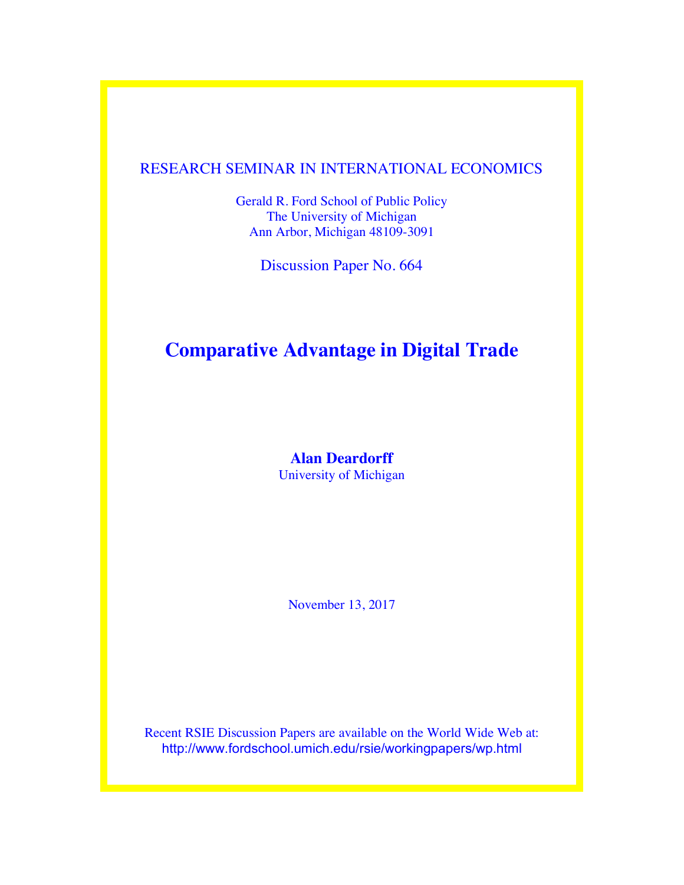## RESEARCH SEMINAR IN INTERNATIONAL ECONOMICS

Gerald R. Ford School of Public Policy The University of Michigan Ann Arbor, Michigan 48109-3091

Discussion Paper No. 664

## **Comparative Advantage in Digital Trade**

**Alan Deardorff** University of Michigan

November 13, 2017

Recent RSIE Discussion Papers are available on the World Wide Web at: http://www.fordschool.umich.edu/rsie/workingpapers/wp.html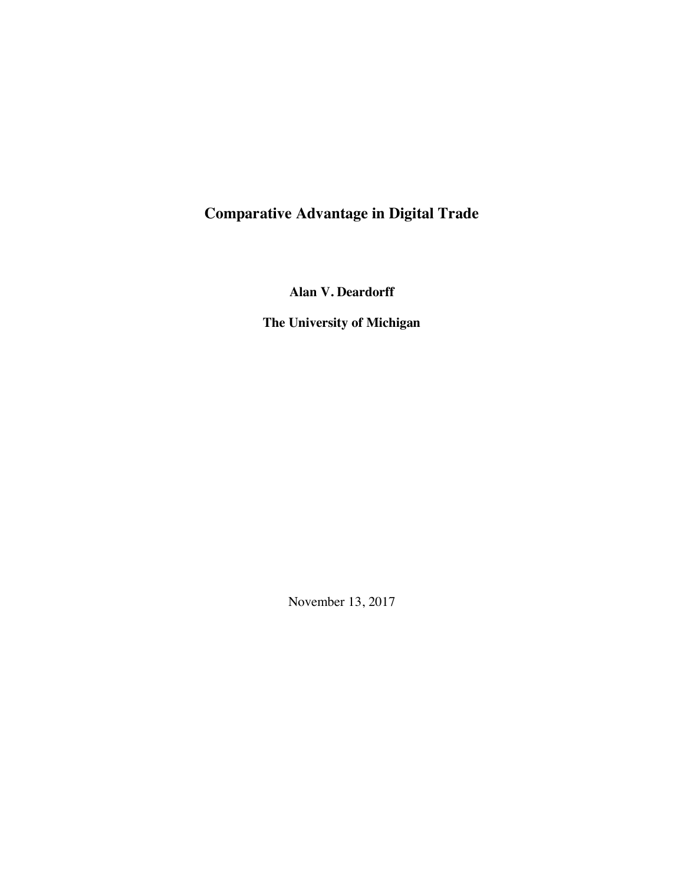# **Comparative Advantage in Digital Trade**

**Alan V. Deardorff**

**The University of Michigan**

November 13, 2017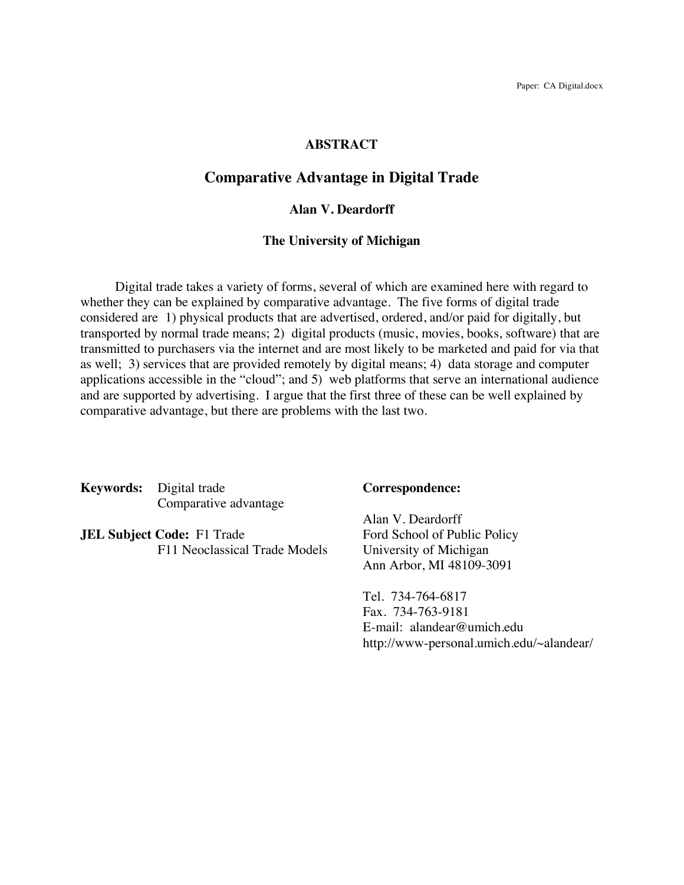#### **ABSTRACT**

#### **Comparative Advantage in Digital Trade**

#### **Alan V. Deardorff**

#### **The University of Michigan**

Digital trade takes a variety of forms, several of which are examined here with regard to whether they can be explained by comparative advantage. The five forms of digital trade considered are 1) physical products that are advertised, ordered, and/or paid for digitally, but transported by normal trade means; 2) digital products (music, movies, books, software) that are transmitted to purchasers via the internet and are most likely to be marketed and paid for via that as well; 3) services that are provided remotely by digital means; 4) data storage and computer applications accessible in the "cloud"; and 5) web platforms that serve an international audience and are supported by advertising. I argue that the first three of these can be well explained by comparative advantage, but there are problems with the last two.

**Keywords:** Digital trade **Correspondence:** Comparative advantage

**JEL Subject Code:** F1 Trade Ford School of Public Policy F11 Neoclassical Trade Models University of Michigan

Alan V. Deardorff Ann Arbor, MI 48109-3091

Tel. 734-764-6817 Fax. 734-763-9181 E-mail: alandear@umich.edu http://www-personal.umich.edu/~alandear/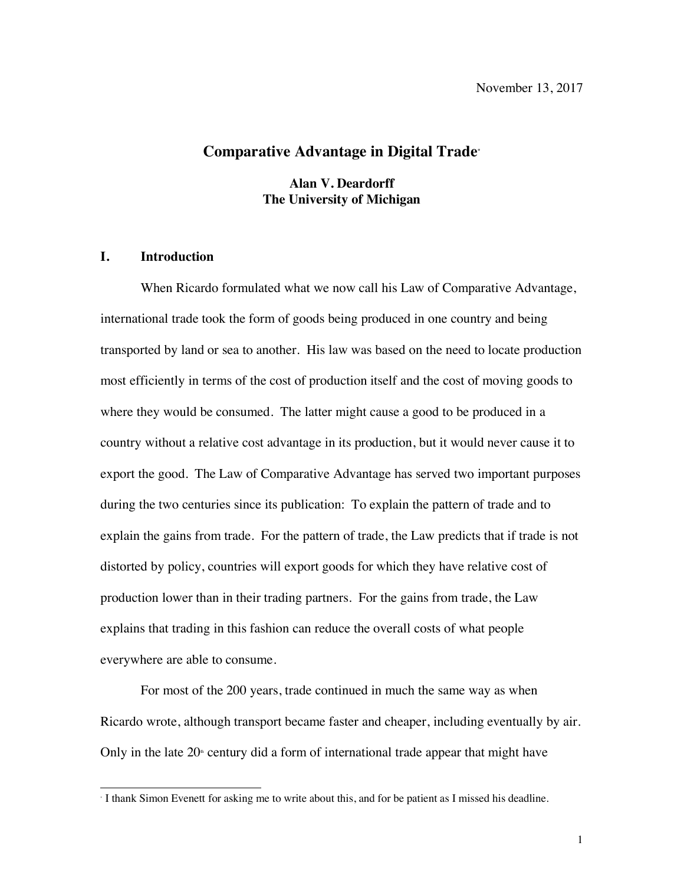### **Comparative Advantage in Digital Trade\***

**Alan V. Deardorff The University of Michigan**

#### **I. Introduction**

When Ricardo formulated what we now call his Law of Comparative Advantage, international trade took the form of goods being produced in one country and being transported by land or sea to another. His law was based on the need to locate production most efficiently in terms of the cost of production itself and the cost of moving goods to where they would be consumed. The latter might cause a good to be produced in a country without a relative cost advantage in its production, but it would never cause it to export the good. The Law of Comparative Advantage has served two important purposes during the two centuries since its publication: To explain the pattern of trade and to explain the gains from trade. For the pattern of trade, the Law predicts that if trade is not distorted by policy, countries will export goods for which they have relative cost of production lower than in their trading partners. For the gains from trade, the Law explains that trading in this fashion can reduce the overall costs of what people everywhere are able to consume.

For most of the 200 years, trade continued in much the same way as when Ricardo wrote, although transport became faster and cheaper, including eventually by air. Only in the late  $20<sup>*</sup>$  century did a form of international trade appear that might have

 <sup>\*</sup> I thank Simon Evenett for asking me to write about this, and for be patient as I missed his deadline.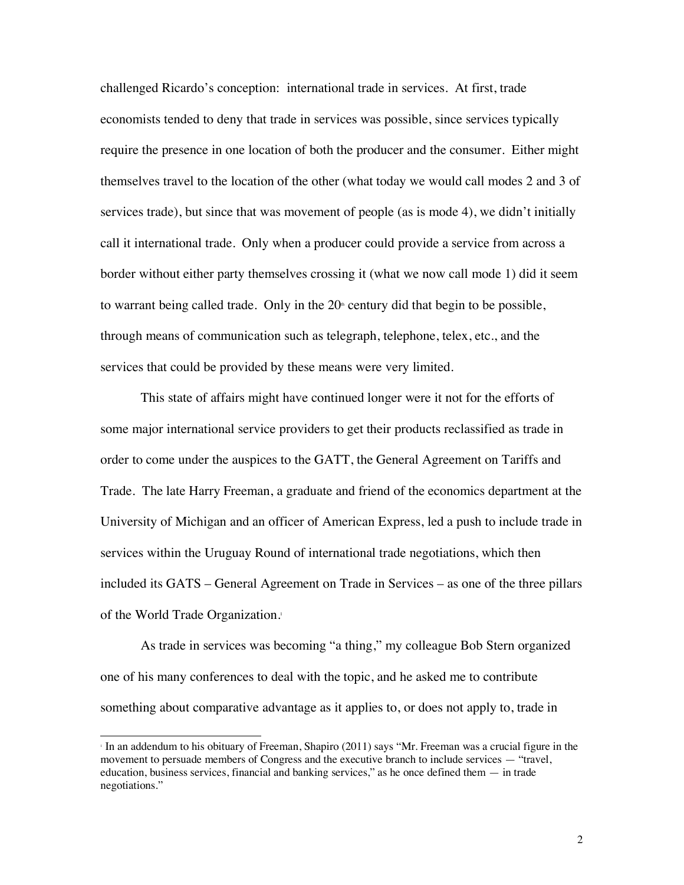challenged Ricardo's conception: international trade in services. At first, trade economists tended to deny that trade in services was possible, since services typically require the presence in one location of both the producer and the consumer. Either might themselves travel to the location of the other (what today we would call modes 2 and 3 of services trade), but since that was movement of people (as is mode 4), we didn't initially call it international trade. Only when a producer could provide a service from across a border without either party themselves crossing it (what we now call mode 1) did it seem to warrant being called trade. Only in the  $20<sup>th</sup>$  century did that begin to be possible, through means of communication such as telegraph, telephone, telex, etc., and the services that could be provided by these means were very limited.

This state of affairs might have continued longer were it not for the efforts of some major international service providers to get their products reclassified as trade in order to come under the auspices to the GATT, the General Agreement on Tariffs and Trade. The late Harry Freeman, a graduate and friend of the economics department at the University of Michigan and an officer of American Express, led a push to include trade in services within the Uruguay Round of international trade negotiations, which then included its GATS – General Agreement on Trade in Services – as one of the three pillars of the World Trade Organization.1

As trade in services was becoming "a thing," my colleague Bob Stern organized one of his many conferences to deal with the topic, and he asked me to contribute something about comparative advantage as it applies to, or does not apply to, trade in

 <sup>1</sup> In an addendum to his obituary of Freeman, Shapiro (2011) says "Mr. Freeman was a crucial figure in the movement to persuade members of Congress and the executive branch to include services — "travel, education, business services, financial and banking services," as he once defined them — in trade negotiations."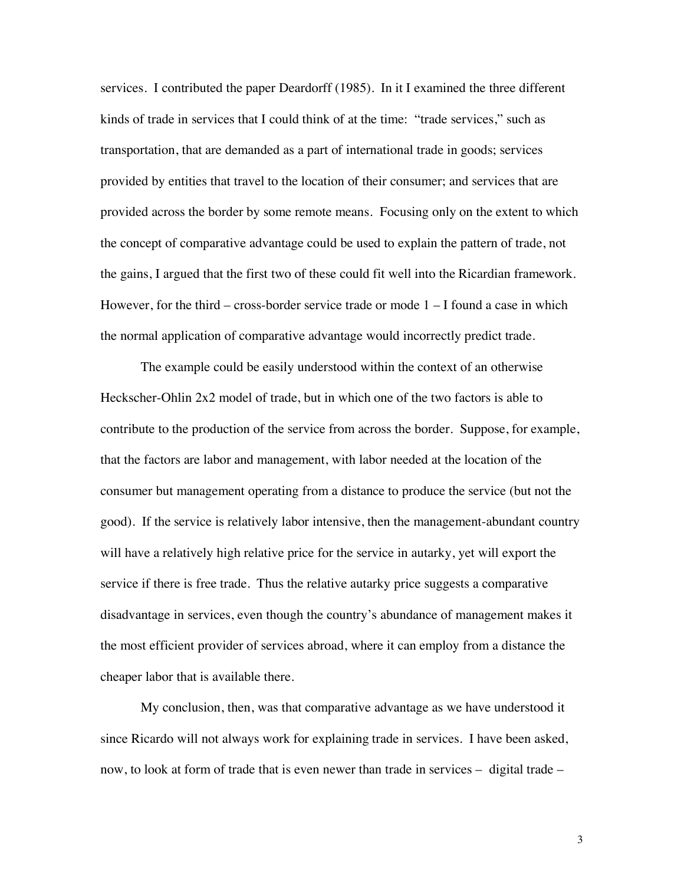services. I contributed the paper Deardorff (1985). In it I examined the three different kinds of trade in services that I could think of at the time: "trade services," such as transportation, that are demanded as a part of international trade in goods; services provided by entities that travel to the location of their consumer; and services that are provided across the border by some remote means. Focusing only on the extent to which the concept of comparative advantage could be used to explain the pattern of trade, not the gains, I argued that the first two of these could fit well into the Ricardian framework. However, for the third – cross-border service trade or mode  $1 - I$  found a case in which the normal application of comparative advantage would incorrectly predict trade.

The example could be easily understood within the context of an otherwise Heckscher-Ohlin 2x2 model of trade, but in which one of the two factors is able to contribute to the production of the service from across the border. Suppose, for example, that the factors are labor and management, with labor needed at the location of the consumer but management operating from a distance to produce the service (but not the good). If the service is relatively labor intensive, then the management-abundant country will have a relatively high relative price for the service in autarky, yet will export the service if there is free trade. Thus the relative autarky price suggests a comparative disadvantage in services, even though the country's abundance of management makes it the most efficient provider of services abroad, where it can employ from a distance the cheaper labor that is available there.

My conclusion, then, was that comparative advantage as we have understood it since Ricardo will not always work for explaining trade in services. I have been asked, now, to look at form of trade that is even newer than trade in services – digital trade –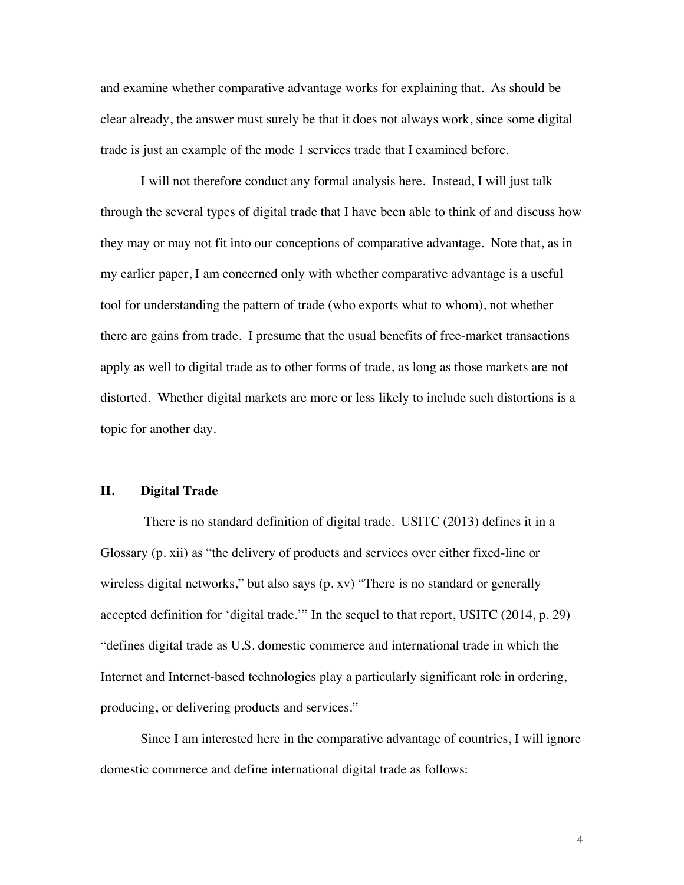and examine whether comparative advantage works for explaining that. As should be clear already, the answer must surely be that it does not always work, since some digital trade is just an example of the mode 1 services trade that I examined before.

I will not therefore conduct any formal analysis here. Instead, I will just talk through the several types of digital trade that I have been able to think of and discuss how they may or may not fit into our conceptions of comparative advantage. Note that, as in my earlier paper, I am concerned only with whether comparative advantage is a useful tool for understanding the pattern of trade (who exports what to whom), not whether there are gains from trade. I presume that the usual benefits of free-market transactions apply as well to digital trade as to other forms of trade, as long as those markets are not distorted. Whether digital markets are more or less likely to include such distortions is a topic for another day.

#### **II. Digital Trade**

There is no standard definition of digital trade. USITC (2013) defines it in a Glossary (p. xii) as "the delivery of products and services over either fixed-line or wireless digital networks," but also says (p. xv) "There is no standard or generally accepted definition for 'digital trade.'" In the sequel to that report, USITC (2014, p. 29) "defines digital trade as U.S. domestic commerce and international trade in which the Internet and Internet-based technologies play a particularly significant role in ordering, producing, or delivering products and services."

Since I am interested here in the comparative advantage of countries, I will ignore domestic commerce and define international digital trade as follows:

4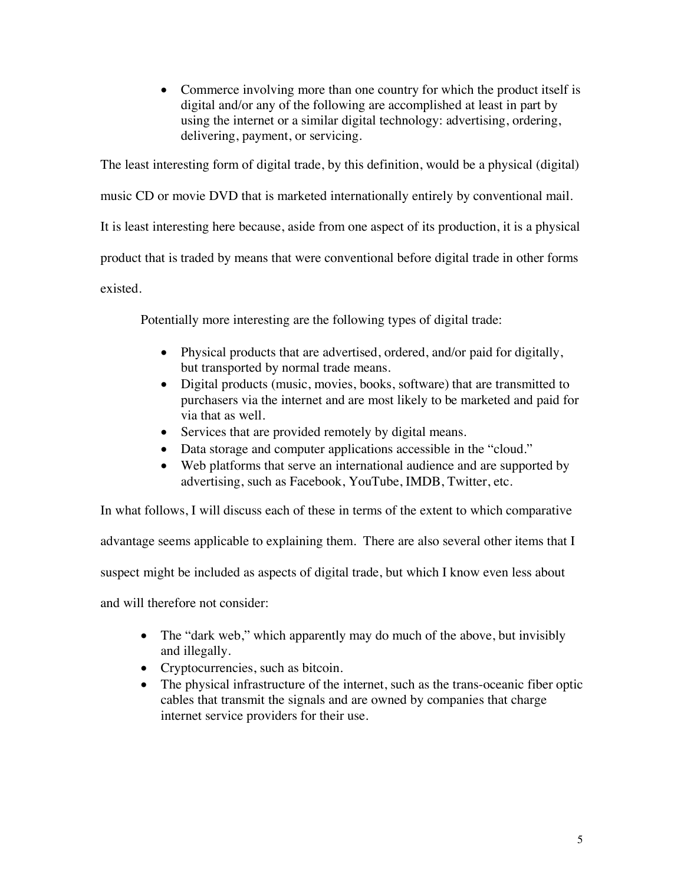• Commerce involving more than one country for which the product itself is digital and/or any of the following are accomplished at least in part by using the internet or a similar digital technology: advertising, ordering, delivering, payment, or servicing.

The least interesting form of digital trade, by this definition, would be a physical (digital) music CD or movie DVD that is marketed internationally entirely by conventional mail. It is least interesting here because, aside from one aspect of its production, it is a physical product that is traded by means that were conventional before digital trade in other forms existed.

Potentially more interesting are the following types of digital trade:

- Physical products that are advertised, ordered, and/or paid for digitally, but transported by normal trade means.
- Digital products (music, movies, books, software) that are transmitted to purchasers via the internet and are most likely to be marketed and paid for via that as well.
- Services that are provided remotely by digital means.
- Data storage and computer applications accessible in the "cloud."
- Web platforms that serve an international audience and are supported by advertising, such as Facebook, YouTube, IMDB, Twitter, etc.

In what follows, I will discuss each of these in terms of the extent to which comparative

advantage seems applicable to explaining them. There are also several other items that I

suspect might be included as aspects of digital trade, but which I know even less about

and will therefore not consider:

- The "dark web," which apparently may do much of the above, but invisibly and illegally.
- Cryptocurrencies, such as bitcoin.
- The physical infrastructure of the internet, such as the trans-oceanic fiber optic cables that transmit the signals and are owned by companies that charge internet service providers for their use.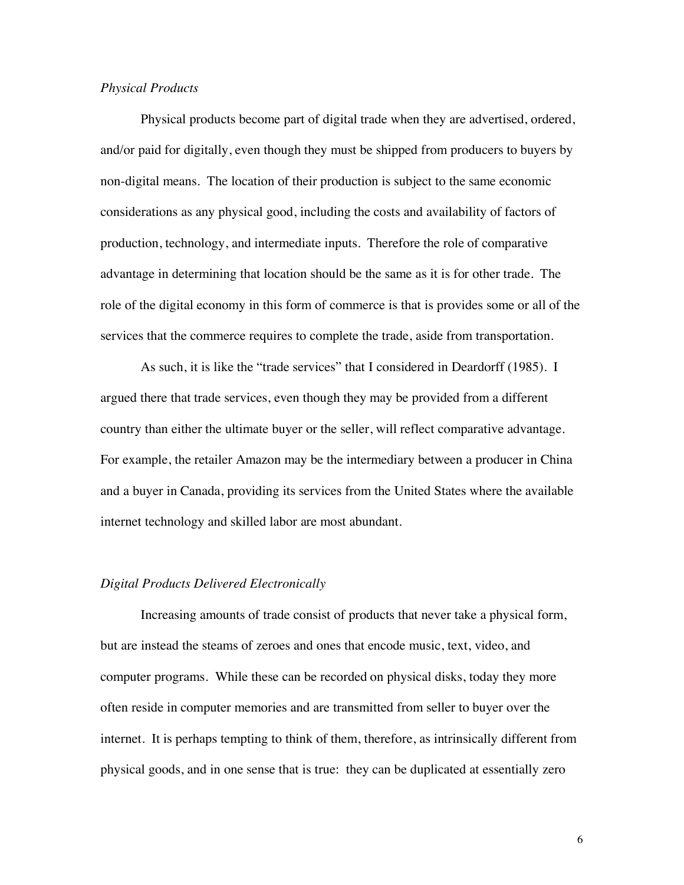#### *Physical Products*

Physical products become part of digital trade when they are advertised, ordered, and/or paid for digitally, even though they must be shipped from producers to buyers by non-digital means. The location of their production is subject to the same economic considerations as any physical good, including the costs and availability of factors of production, technology, and intermediate inputs. Therefore the role of comparative advantage in determining that location should be the same as it is for other trade. The role of the digital economy in this form of commerce is that is provides some or all of the services that the commerce requires to complete the trade, aside from transportation.

As such, it is like the "trade services" that I considered in Deardorff (1985). I argued there that trade services, even though they may be provided from a different country than either the ultimate buyer or the seller, will reflect comparative advantage. For example, the retailer Amazon may be the intermediary between a producer in China and a buyer in Canada, providing its services from the United States where the available internet technology and skilled labor are most abundant.

#### *Digital Products Delivered Electronically*

Increasing amounts of trade consist of products that never take a physical form, but are instead the steams of zeroes and ones that encode music, text, video, and computer programs. While these can be recorded on physical disks, today they more often reside in computer memories and are transmitted from seller to buyer over the internet. It is perhaps tempting to think of them, therefore, as intrinsically different from physical goods, and in one sense that is true: they can be duplicated at essentially zero

6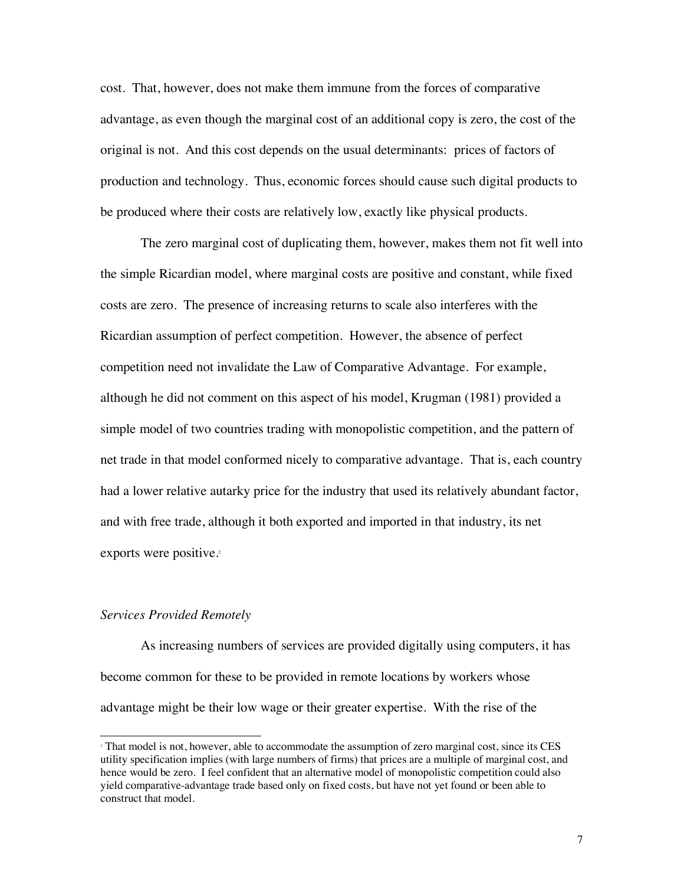cost. That, however, does not make them immune from the forces of comparative advantage, as even though the marginal cost of an additional copy is zero, the cost of the original is not. And this cost depends on the usual determinants: prices of factors of production and technology. Thus, economic forces should cause such digital products to be produced where their costs are relatively low, exactly like physical products.

The zero marginal cost of duplicating them, however, makes them not fit well into the simple Ricardian model, where marginal costs are positive and constant, while fixed costs are zero. The presence of increasing returns to scale also interferes with the Ricardian assumption of perfect competition. However, the absence of perfect competition need not invalidate the Law of Comparative Advantage. For example, although he did not comment on this aspect of his model, Krugman (1981) provided a simple model of two countries trading with monopolistic competition, and the pattern of net trade in that model conformed nicely to comparative advantage. That is, each country had a lower relative autarky price for the industry that used its relatively abundant factor, and with free trade, although it both exported and imported in that industry, its net exports were positive.<sup>2</sup>

#### *Services Provided Remotely*

As increasing numbers of services are provided digitally using computers, it has become common for these to be provided in remote locations by workers whose advantage might be their low wage or their greater expertise. With the rise of the

<sup>&</sup>lt;sup>2</sup> That model is not, however, able to accommodate the assumption of zero marginal cost, since its CES utility specification implies (with large numbers of firms) that prices are a multiple of marginal cost, and hence would be zero. I feel confident that an alternative model of monopolistic competition could also yield comparative-advantage trade based only on fixed costs, but have not yet found or been able to construct that model.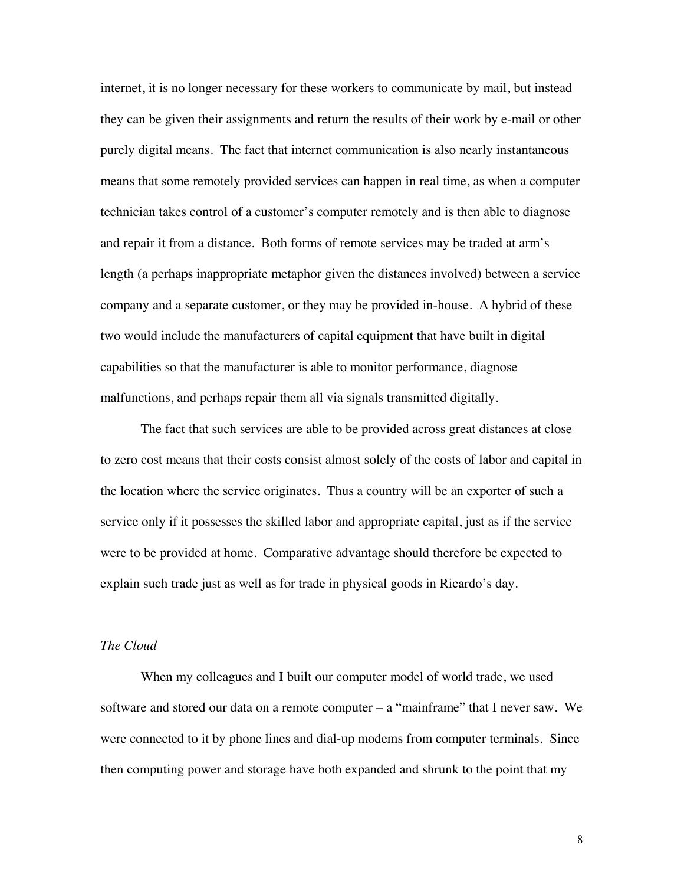internet, it is no longer necessary for these workers to communicate by mail, but instead they can be given their assignments and return the results of their work by e-mail or other purely digital means. The fact that internet communication is also nearly instantaneous means that some remotely provided services can happen in real time, as when a computer technician takes control of a customer's computer remotely and is then able to diagnose and repair it from a distance. Both forms of remote services may be traded at arm's length (a perhaps inappropriate metaphor given the distances involved) between a service company and a separate customer, or they may be provided in-house. A hybrid of these two would include the manufacturers of capital equipment that have built in digital capabilities so that the manufacturer is able to monitor performance, diagnose malfunctions, and perhaps repair them all via signals transmitted digitally.

The fact that such services are able to be provided across great distances at close to zero cost means that their costs consist almost solely of the costs of labor and capital in the location where the service originates. Thus a country will be an exporter of such a service only if it possesses the skilled labor and appropriate capital, just as if the service were to be provided at home. Comparative advantage should therefore be expected to explain such trade just as well as for trade in physical goods in Ricardo's day.

#### *The Cloud*

When my colleagues and I built our computer model of world trade, we used software and stored our data on a remote computer  $-$  a "mainframe" that I never saw. We were connected to it by phone lines and dial-up modems from computer terminals. Since then computing power and storage have both expanded and shrunk to the point that my

8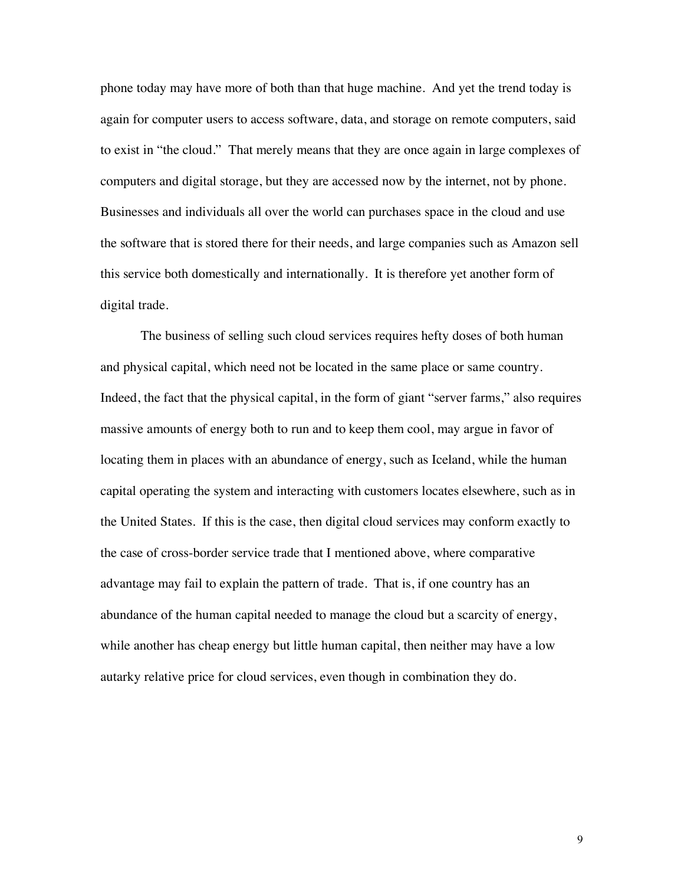phone today may have more of both than that huge machine. And yet the trend today is again for computer users to access software, data, and storage on remote computers, said to exist in "the cloud." That merely means that they are once again in large complexes of computers and digital storage, but they are accessed now by the internet, not by phone. Businesses and individuals all over the world can purchases space in the cloud and use the software that is stored there for their needs, and large companies such as Amazon sell this service both domestically and internationally. It is therefore yet another form of digital trade.

The business of selling such cloud services requires hefty doses of both human and physical capital, which need not be located in the same place or same country. Indeed, the fact that the physical capital, in the form of giant "server farms," also requires massive amounts of energy both to run and to keep them cool, may argue in favor of locating them in places with an abundance of energy, such as Iceland, while the human capital operating the system and interacting with customers locates elsewhere, such as in the United States. If this is the case, then digital cloud services may conform exactly to the case of cross-border service trade that I mentioned above, where comparative advantage may fail to explain the pattern of trade. That is, if one country has an abundance of the human capital needed to manage the cloud but a scarcity of energy, while another has cheap energy but little human capital, then neither may have a low autarky relative price for cloud services, even though in combination they do.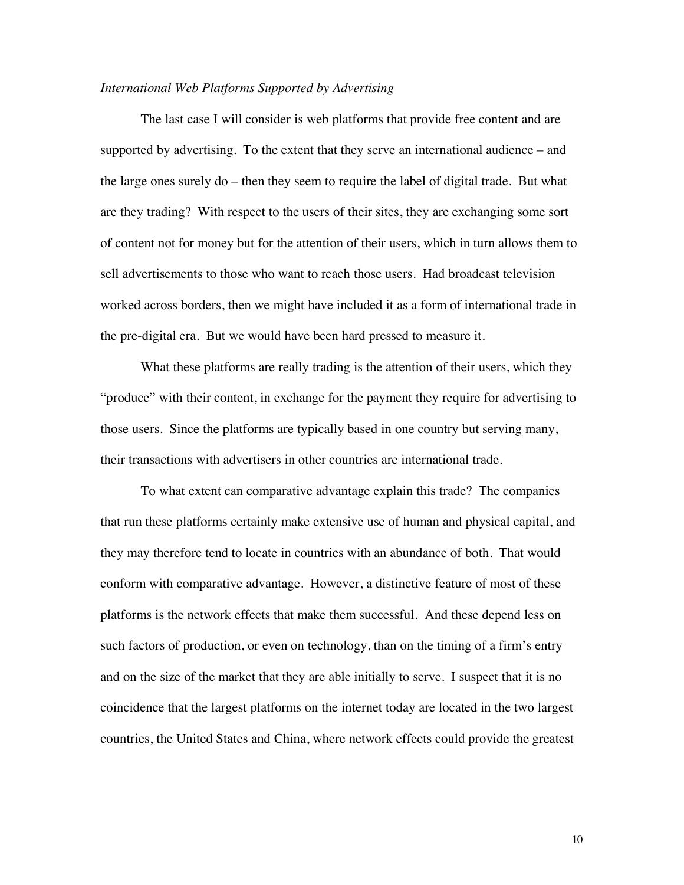#### *International Web Platforms Supported by Advertising*

The last case I will consider is web platforms that provide free content and are supported by advertising. To the extent that they serve an international audience – and the large ones surely do – then they seem to require the label of digital trade. But what are they trading? With respect to the users of their sites, they are exchanging some sort of content not for money but for the attention of their users, which in turn allows them to sell advertisements to those who want to reach those users. Had broadcast television worked across borders, then we might have included it as a form of international trade in the pre-digital era. But we would have been hard pressed to measure it.

What these platforms are really trading is the attention of their users, which they "produce" with their content, in exchange for the payment they require for advertising to those users. Since the platforms are typically based in one country but serving many, their transactions with advertisers in other countries are international trade.

To what extent can comparative advantage explain this trade? The companies that run these platforms certainly make extensive use of human and physical capital, and they may therefore tend to locate in countries with an abundance of both. That would conform with comparative advantage. However, a distinctive feature of most of these platforms is the network effects that make them successful. And these depend less on such factors of production, or even on technology, than on the timing of a firm's entry and on the size of the market that they are able initially to serve. I suspect that it is no coincidence that the largest platforms on the internet today are located in the two largest countries, the United States and China, where network effects could provide the greatest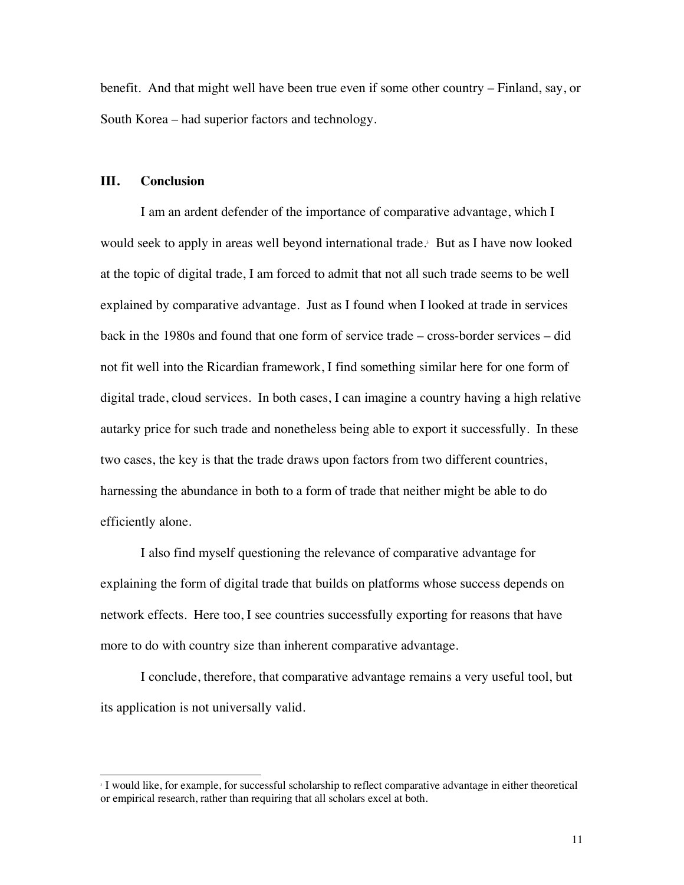benefit. And that might well have been true even if some other country – Finland, say, or South Korea – had superior factors and technology.

#### **III. Conclusion**

I am an ardent defender of the importance of comparative advantage, which I would seek to apply in areas well beyond international trade.<sup>3</sup> But as I have now looked at the topic of digital trade, I am forced to admit that not all such trade seems to be well explained by comparative advantage. Just as I found when I looked at trade in services back in the 1980s and found that one form of service trade – cross-border services – did not fit well into the Ricardian framework, I find something similar here for one form of digital trade, cloud services. In both cases, I can imagine a country having a high relative autarky price for such trade and nonetheless being able to export it successfully. In these two cases, the key is that the trade draws upon factors from two different countries, harnessing the abundance in both to a form of trade that neither might be able to do efficiently alone.

I also find myself questioning the relevance of comparative advantage for explaining the form of digital trade that builds on platforms whose success depends on network effects. Here too, I see countries successfully exporting for reasons that have more to do with country size than inherent comparative advantage.

I conclude, therefore, that comparative advantage remains a very useful tool, but its application is not universally valid.

 <sup>3</sup> I would like, for example, for successful scholarship to reflect comparative advantage in either theoretical or empirical research, rather than requiring that all scholars excel at both.